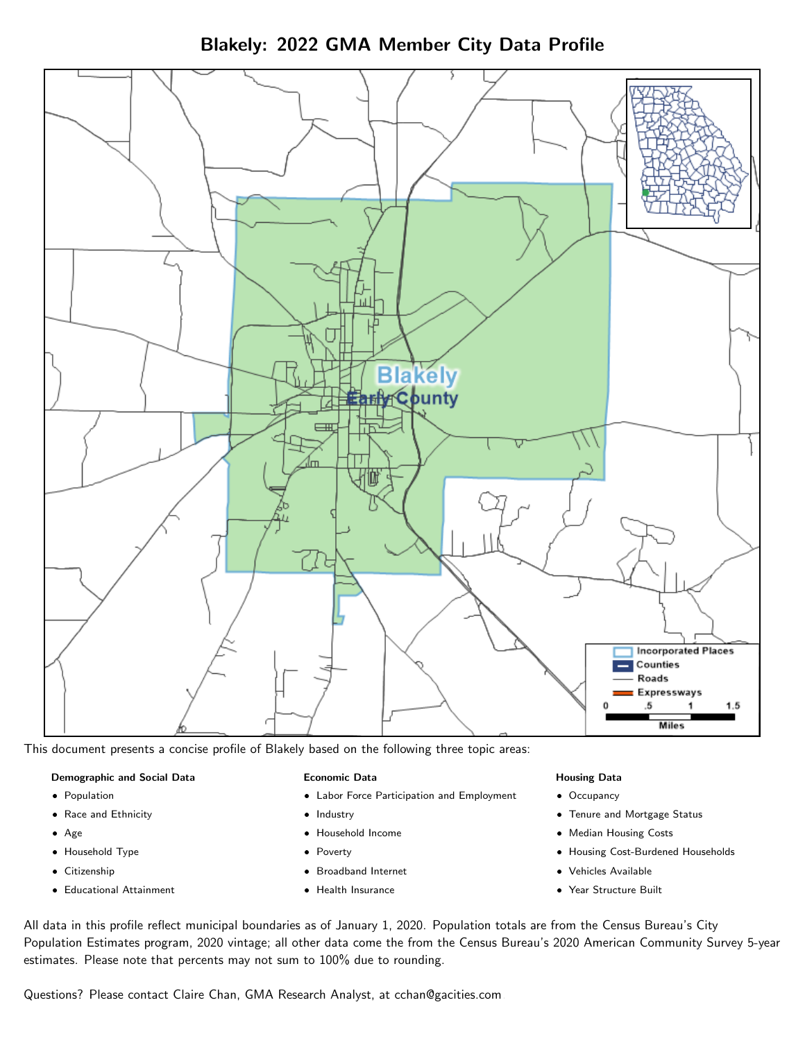



This document presents a concise profile of Blakely based on the following three topic areas:

### Demographic and Social Data

- **•** Population
- Race and Ethnicity
- Age
- Household Type
- **Citizenship**
- Educational Attainment

### Economic Data

- Labor Force Participation and Employment
- Industry
- Household Income
- Poverty
- Broadband Internet
- Health Insurance

#### Housing Data

- Occupancy
- Tenure and Mortgage Status
- Median Housing Costs
- Housing Cost-Burdened Households
- Vehicles Available
- $\bullet$ Year Structure Built

All data in this profile reflect municipal boundaries as of January 1, 2020. Population totals are from the Census Bureau's City Population Estimates program, 2020 vintage; all other data come the from the Census Bureau's 2020 American Community Survey 5-year estimates. Please note that percents may not sum to 100% due to rounding.

Questions? Please contact Claire Chan, GMA Research Analyst, at [cchan@gacities.com.](mailto:cchan@gacities.com)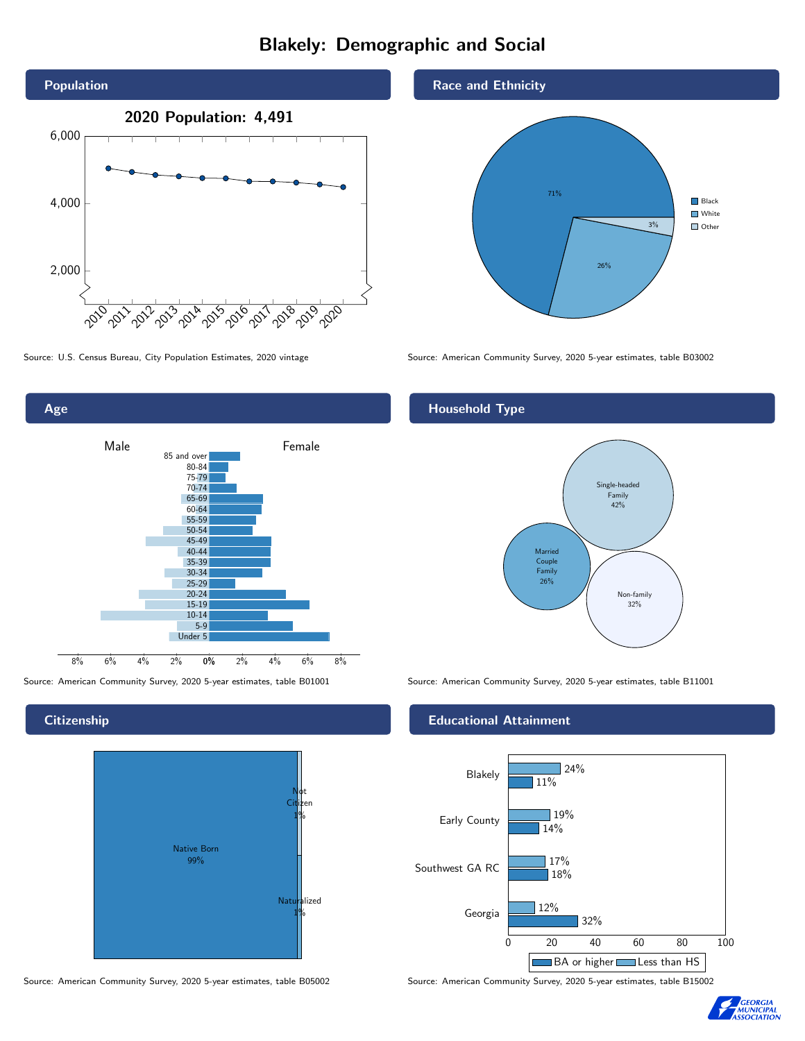# Blakely: Demographic and Social





**Citizenship** 



Source: American Community Survey, 2020 5-year estimates, table B05002 Source: American Community Survey, 2020 5-year estimates, table B15002

Race and Ethnicity



Source: U.S. Census Bureau, City Population Estimates, 2020 vintage Source: American Community Survey, 2020 5-year estimates, table B03002

## Household Type



Source: American Community Survey, 2020 5-year estimates, table B01001 Source: American Community Survey, 2020 5-year estimates, table B11001

### Educational Attainment



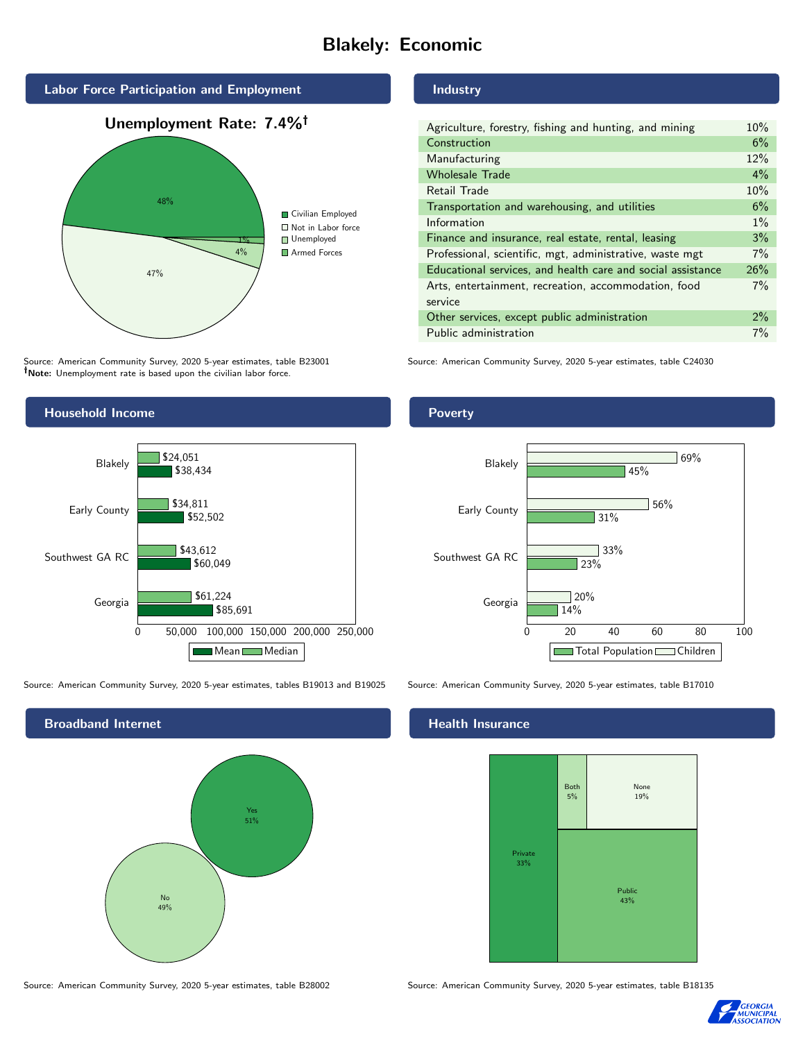# Blakely: Economic



Source: American Community Survey, 2020 5-year estimates, table B23001 Note: Unemployment rate is based upon the civilian labor force.

#### Industry

| Agriculture, forestry, fishing and hunting, and mining      | 10%   |
|-------------------------------------------------------------|-------|
| Construction                                                | 6%    |
| Manufacturing                                               | 12%   |
| <b>Wholesale Trade</b>                                      | $4\%$ |
| Retail Trade                                                | 10%   |
| Transportation and warehousing, and utilities               | 6%    |
| Information                                                 | $1\%$ |
| Finance and insurance, real estate, rental, leasing         | 3%    |
| Professional, scientific, mgt, administrative, waste mgt    | $7\%$ |
| Educational services, and health care and social assistance | 26%   |
| Arts, entertainment, recreation, accommodation, food        | 7%    |
| service                                                     |       |
| Other services, except public administration                | 2%    |
| Public administration                                       | 7%    |

Source: American Community Survey, 2020 5-year estimates, table C24030



Source: American Community Survey, 2020 5-year estimates, tables B19013 and B19025 Source: American Community Survey, 2020 5-year estimates, table B17010

Broadband Internet No 49% Yes 51%

#### Health Insurance



Source: American Community Survey, 2020 5-year estimates, table B28002 Source: American Community Survey, 2020 5-year estimates, table B18135



#### **Poverty**